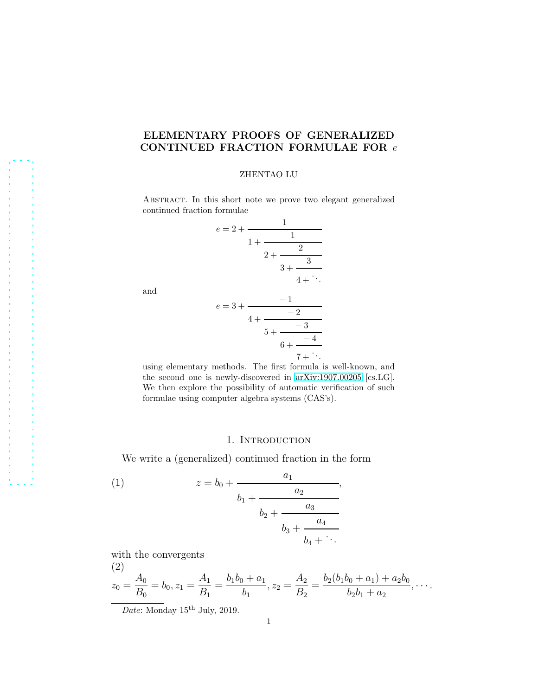# ELEMENTARY PROOFS OF GENERALIZED CONTINUED FRACTION FORMULAE FOR  $e$

#### ZHENTAO LU

ABSTRACT. In this short note we prove two elegant generalized continued fraction formulae

$$
e = 2 + \cfrac{1}{1 + \cfrac{1}{2 + \cfrac{2}{3 + \cfrac{3}{4 + \ddots}}}}
$$

and

$$
e = 3 + \cfrac{-1}{4 + \cfrac{-2}{5 + \cfrac{-3}{6 + \cfrac{-4}{7 + \ddots}}}}
$$

using elementary methods. The first formula is well-known, and the second one is newly-discovered in [arXiv:1907.00205](http://arxiv.org/abs/1907.00205) [cs.LG]. We then explore the possibility of automatic verification of such formulae using computer algebra systems (CAS's).

### 1. INTRODUCTION

We write a (generalized) continued fraction in the form

(1) 
$$
z = b_0 + \cfrac{a_1}{b_1 + \cfrac{a_2}{b_2 + \cfrac{a_3}{b_3 + \cfrac{a_4}{b_4 + \ddots}}}},
$$

with the convergents

(2)  

$$
z_0 = \frac{A_0}{B_0} = b_0, z_1 = \frac{A_1}{B_1} = \frac{b_1b_0 + a_1}{b_1}, z_2 = \frac{A_2}{B_2} = \frac{b_2(b_1b_0 + a_1) + a_2b_0}{b_2b_1 + a_2}, \cdots
$$

Date: Monday 15<sup>th</sup> July, 2019.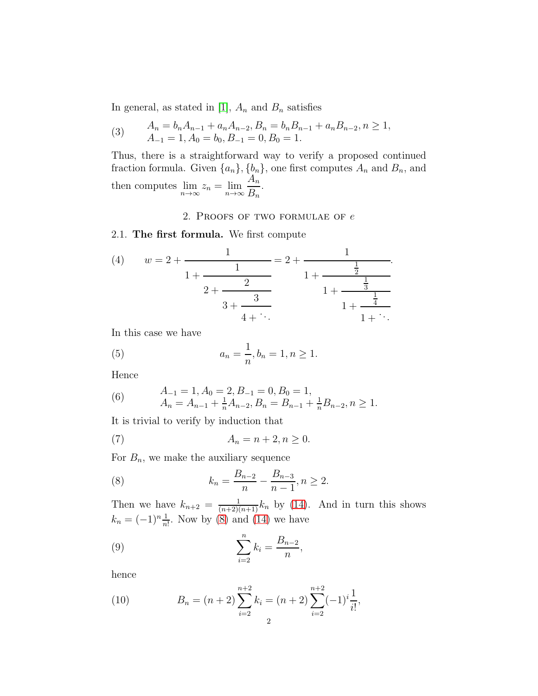In general, as stated in [\[1\]](#page-3-0),  $A_n$  and  $B_n$  satisfies

<span id="page-1-1"></span>(3) 
$$
A_n = b_n A_{n-1} + a_n A_{n-2}, B_n = b_n B_{n-1} + a_n B_{n-2}, n \ge 1,
$$
  
\n
$$
A_{-1} = 1, A_0 = b_0, B_{-1} = 0, B_0 = 1.
$$

Thus, there is a straightforward way to verify a proposed continued fraction formula. Given  $\{a_n\}, \{b_n\}$ , one first computes  $A_n$  and  $B_n$ , and then computes  $\lim_{n\to\infty} z_n = \lim_{n\to\infty}$  $A_n$  $B_n$ .

### 2. PROOFS OF TWO FORMULAE OF  $e$

### 2.1. The first formula. We first compute

(4) 
$$
w = 2 + \frac{1}{1 + \frac{1}{2}} = 2 + \frac{1}{1 + \frac{\frac{1}{2}}{1 + \frac{\frac{1}{3}}{1 + \frac{\frac{1}{3}}{1 + \frac{\frac{1}{4}}{1 + \ddots}}}}}
$$

In this case we have

(5) 
$$
a_n = \frac{1}{n}, b_n = 1, n \ge 1.
$$

Hence

(6) 
$$
A_{-1} = 1, A_0 = 2, B_{-1} = 0, B_0 = 1, A_n = A_{n-1} + \frac{1}{n}A_{n-2}, B_n = B_{n-1} + \frac{1}{n}B_{n-2}, n \ge 1.
$$

It is trivial to verify by induction that

$$
(7) \qquad A_n = n+2, n \ge 0.
$$

For  $B_n$ , we make the auxiliary sequence

<span id="page-1-0"></span>(8) 
$$
k_n = \frac{B_{n-2}}{n} - \frac{B_{n-3}}{n-1}, n \ge 2.
$$

Then we have  $k_{n+2} = \frac{1}{(n+2)(n+1)}k_n$  by [\(14\)](#page-2-0). And in turn this shows  $k_n = (-1)^n \frac{1}{n!}$ . Now by [\(8\)](#page-1-0) and [\(14\)](#page-2-0) we have

(9) 
$$
\sum_{i=2}^{n} k_i = \frac{B_{n-2}}{n},
$$

hence

(10) 
$$
B_n = (n+2) \sum_{i=2}^{n+2} k_i = (n+2) \sum_{i=2}^{n+2} (-1)^i \frac{1}{i!},
$$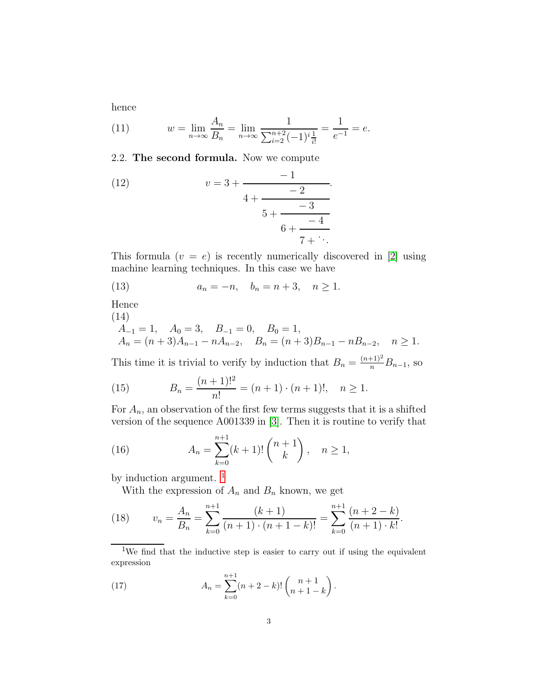hence

(11) 
$$
w = \lim_{n \to \infty} \frac{A_n}{B_n} = \lim_{n \to \infty} \frac{1}{\sum_{i=2}^{n+2} (-1)^i \frac{1}{i!}} = \frac{1}{e^{-1}} = e.
$$

## 2.2. The second formula. Now we compute

(12) 
$$
v = 3 + \cfrac{-1}{4 + \cfrac{-2}{5 + \cfrac{-3}{6 + \cfrac{-4}{7 + \ddots}}}}.
$$

This formula  $(v = e)$  is recently numerically discovered in [\[2\]](#page-3-1) using machine learning techniques. In this case we have

(13) 
$$
a_n = -n, \quad b_n = n + 3, \quad n \ge 1.
$$

Hence

(14)

<span id="page-2-0"></span>
$$
A_{-1} = 1, \quad A_0 = 3, \quad B_{-1} = 0, \quad B_0 = 1,
$$
  
\n
$$
A_n = (n+3)A_{n-1} - nA_{n-2}, \quad B_n = (n+3)B_{n-1} - nB_{n-2}, \quad n \ge 1.
$$

This time it is trivial to verify by induction that  $B_n = \frac{(n+1)^2}{n} B_{n-1}$ , so

(15) 
$$
B_n = \frac{(n+1)!^2}{n!} = (n+1) \cdot (n+1)!, \quad n \ge 1.
$$

For  $A_n$ , an observation of the first few terms suggests that it is a shifted version of the sequence A001339 in [\[3\]](#page-3-2). Then it is routine to verify that

(16) 
$$
A_n = \sum_{k=0}^{n+1} (k+1)! \binom{n+1}{k}, \quad n \ge 1,
$$

by induction argument.  $^{\rm 1}$  $^{\rm 1}$  $^{\rm 1}$ 

With the expression of  $A_n$  and  $B_n$  known, we get

(18) 
$$
v_n = \frac{A_n}{B_n} = \sum_{k=0}^{n+1} \frac{(k+1)}{(n+1) \cdot (n+1-k)!} = \sum_{k=0}^{n+1} \frac{(n+2-k)}{(n+1) \cdot k!}.
$$

<span id="page-2-1"></span><sup>1</sup>We find that the inductive step is easier to carry out if using the equivalent expression

.

(17) 
$$
A_n = \sum_{k=0}^{n+1} (n+2-k)! \binom{n+1}{n+1-k}
$$